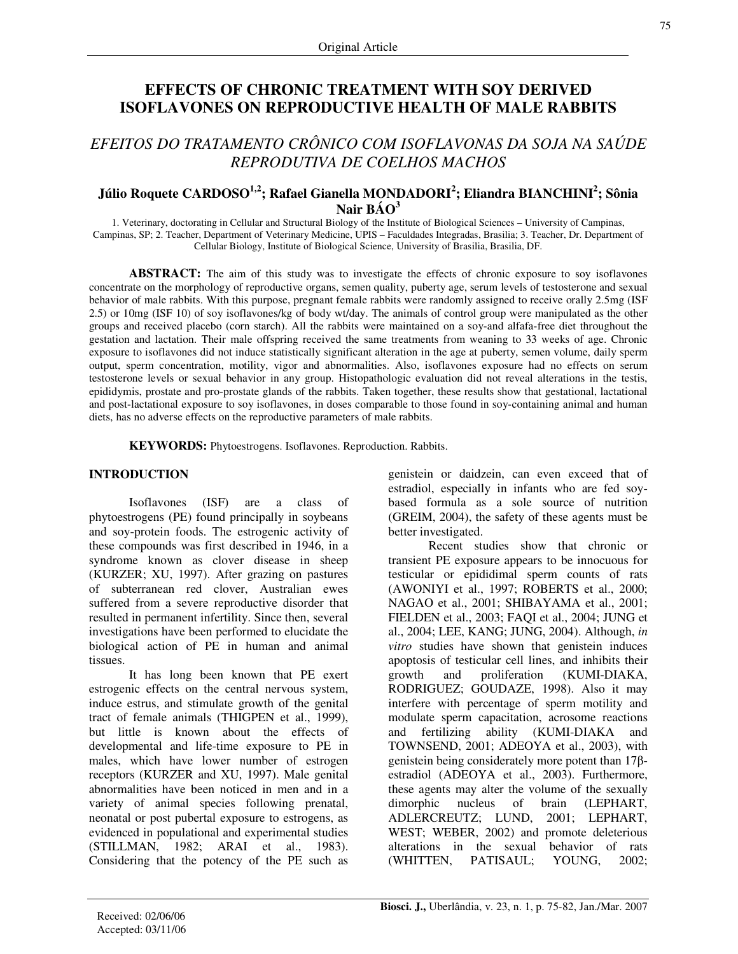# **EFFECTS OF CHRONIC TREATMENT WITH SOY DERIVED ISOFLAVONES ON REPRODUCTIVE HEALTH OF MALE RABBITS**

# *EFEITOS DO TRATAMENTO CRÔNICO COM ISOFLAVONAS DA SOJA NA SAÚDE REPRODUTIVA DE COELHOS MACHOS*

## **Júlio Roquete CARDOSO 1,2 ; Rafael Gianella MONDADORI 2 ; Eliandra BIANCHINI 2 ; Sônia Nair BÁO 3**

1. Veterinary, doctorating in Cellular and Structural Biology of the Institute of Biological Sciences – University of Campinas, Campinas, SP; 2. Teacher, Department of Veterinary Medicine, UPIS – Faculdades Integradas, Brasilia; 3. Teacher, Dr. Department of Cellular Biology, Institute of Biological Science, University of Brasilia, Brasilia, DF.

**ABSTRACT:** The aim of this study was to investigate the effects of chronic exposure to soy isoflavones concentrate on the morphology of reproductive organs, semen quality, puberty age, serum levels of testosterone and sexual behavior of male rabbits. With this purpose, pregnant female rabbits were randomly assigned to receive orally 2.5mg (ISF 2.5) or 10mg (ISF 10) of soy isoflavones/kg of body wt/day. The animals of control group were manipulated as the other groups and received placebo (corn starch). All the rabbits were maintained on a soy-and alfafa-free diet throughout the gestation and lactation. Their male offspring received the same treatments from weaning to 33 weeks of age. Chronic exposure to isoflavones did not induce statistically significant alteration in the age at puberty, semen volume, daily sperm output, sperm concentration, motility, vigor and abnormalities. Also, isoflavones exposure had no effects on serum testosterone levels or sexual behavior in any group. Histopathologic evaluation did not reveal alterations in the testis, epididymis, prostate and pro-prostate glands of the rabbits. Taken together, these results show that gestational, lactational and post-lactational exposure to soy isoflavones, in doses comparable to those found in soy-containing animal and human diets, has no adverse effects on the reproductive parameters of male rabbits.

**KEYWORDS:** Phytoestrogens. Isoflavones. Reproduction. Rabbits.

#### **INTRODUCTION**

Isoflavones (ISF) are a class of phytoestrogens (PE) found principally in soybeans and soy-protein foods. The estrogenic activity of these compounds was first described in 1946, in a syndrome known as clover disease in sheep (KURZER; XU, 1997). After grazing on pastures of subterranean red clover, Australian ewes suffered from a severe reproductive disorder that resulted in permanent infertility. Since then, several investigations have been performed to elucidate the biological action of PE in human and animal tissues.

It has long been known that PE exert estrogenic effects on the central nervous system, induce estrus, and stimulate growth of the genital tract of female animals (THIGPEN et al., 1999), but little is known about the effects of developmental and life-time exposure to PE in males, which have lower number of estrogen receptors (KURZER and XU, 1997). Male genital abnormalities have been noticed in men and in a variety of animal species following prenatal, neonatal or post pubertal exposure to estrogens, as evidenced in populational and experimental studies (STILLMAN, 1982; ARAI et al., 1983). Considering that the potency of the PE such as genistein or daidzein, can even exceed that of estradiol, especially in infants who are fed soybased formula as a sole source of nutrition (GREIM, 2004), the safety of these agents must be better investigated.

Recent studies show that chronic or transient PE exposure appears to be innocuous for testicular or epididimal sperm counts of rats (AWONIYI et al., 1997; ROBERTS et al., 2000; NAGAO et al., 2001; SHIBAYAMA et al., 2001; FIELDEN et al., 2003; FAQI et al., 2004; JUNG et al., 2004; LEE, KANG; JUNG, 2004). Although, *in vitro* studies have shown that genistein induces apoptosis of testicular cell lines, and inhibits their growth and proliferation (KUMI-DIAKA, RODRIGUEZ; GOUDAZE, 1998). Also it may interfere with percentage of sperm motility and modulate sperm capacitation, acrosome reactions and fertilizing ability (KUMI-DIAKA and TOWNSEND, 2001; ADEOYA et al., 2003), with genistein being considerately more potent than  $17\beta$ estradiol (ADEOYA et al., 2003). Furthermore, these agents may alter the volume of the sexually dimorphic nucleus of brain (LEPHART, ADLERCREUTZ; LUND, 2001; LEPHART, WEST; WEBER, 2002) and promote deleterious alterations in the sexual behavior of rats (WHITTEN, PATISAUL; YOUNG, 2002;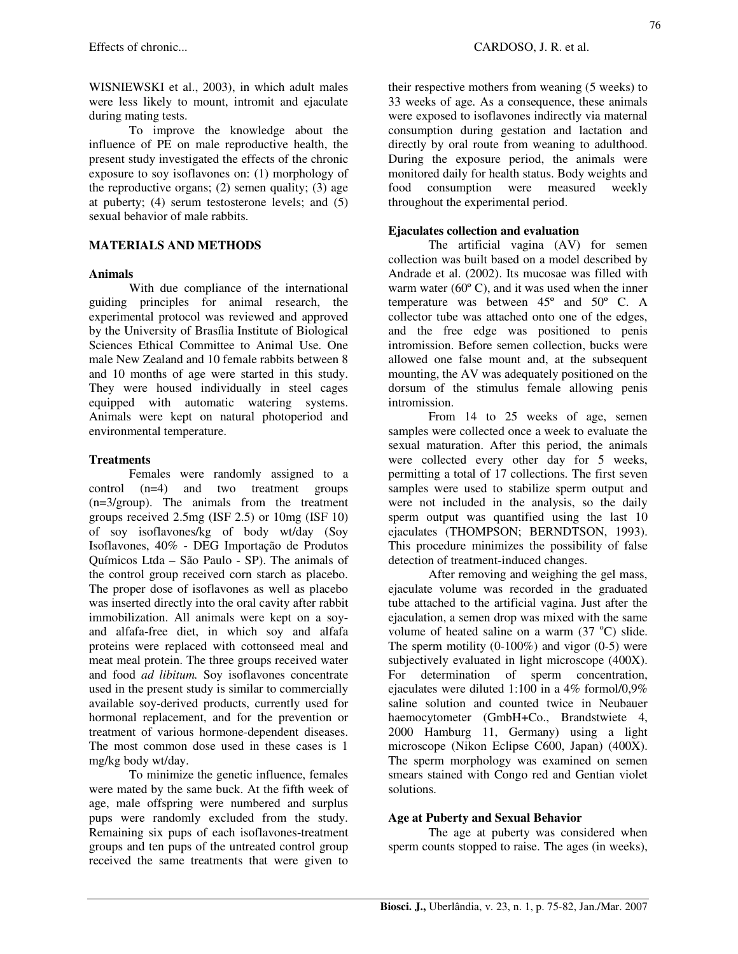WISNIEWSKI et al., 2003), in which adult males were less likely to mount, intromit and ejaculate during mating tests.

To improve the knowledge about the influence of PE on male reproductive health, the present study investigated the effects of the chronic exposure to soy isoflavones on: (1) morphology of the reproductive organs;  $(2)$  semen quality;  $(3)$  age at puberty; (4) serum testosterone levels; and (5) sexual behavior of male rabbits.

## **MATERIALS AND METHODS**

#### **Animals**

With due compliance of the international guiding principles for animal research, the experimental protocol was reviewed and approved by the University of Brasília Institute of Biological Sciences Ethical Committee to Animal Use. One male New Zealand and 10 female rabbits between 8 and 10 months of age were started in this study. They were housed individually in steel cages equipped with automatic watering systems. Animals were kept on natural photoperiod and environmental temperature.

## **Treatments**

Females were randomly assigned to a control (n=4) and two treatment groups (n=3/group). The animals from the treatment groups received 2.5mg (ISF 2.5) or 10mg (ISF 10) of soy isoflavones/kg of body wt/day (Soy Isoflavones, 40% - DEG Importação de Produtos Químicos Ltda – São Paulo - SP). The animals of the control group received corn starch as placebo. The proper dose of isoflavones as well as placebo was inserted directly into the oral cavity after rabbit immobilization. All animals were kept on a soyand alfafa-free diet, in which soy and alfafa proteins were replaced with cottonseed meal and meat meal protein. The three groups received water and food *ad libitum.* Soy isoflavones concentrate used in the present study is similar to commercially available soy-derived products, currently used for hormonal replacement, and for the prevention or treatment of various hormone-dependent diseases. The most common dose used in these cases is 1 mg/kg body wt/day.

To minimize the genetic influence, females were mated by the same buck. At the fifth week of age, male offspring were numbered and surplus pups were randomly excluded from the study. Remaining six pups of each isoflavones-treatment groups and ten pups of the untreated control group received the same treatments that were given to their respective mothers from weaning (5 weeks) to 33 weeks of age. As a consequence, these animals were exposed to isoflavones indirectly via maternal consumption during gestation and lactation and directly by oral route from weaning to adulthood. During the exposure period, the animals were monitored daily for health status. Body weights and food consumption were measured weekly throughout the experimental period.

## **Ejaculates collection and evaluation**

The artificial vagina (AV) for semen collection was built based on a model described by Andrade et al. (2002). Its mucosae was filled with warm water  $(60^{\circ}$  C), and it was used when the inner temperature was between  $45^{\circ}$  and  $50^{\circ}$  C. A collector tube was attached onto one of the edges, and the free edge was positioned to penis intromission. Before semen collection, bucks were allowed one false mount and, at the subsequent mounting, the AV was adequately positioned on the dorsum of the stimulus female allowing penis intromission.

From 14 to 25 weeks of age, semen samples were collected once a week to evaluate the sexual maturation. After this period, the animals were collected every other day for 5 weeks, permitting a total of 17 collections. The first seven samples were used to stabilize sperm output and were not included in the analysis, so the daily sperm output was quantified using the last 10 ejaculates (THOMPSON; BERNDTSON, 1993). This procedure minimizes the possibility of false detection of treatment-induced changes.

After removing and weighing the gel mass, ejaculate volume was recorded in the graduated tube attached to the artificial vagina. Just after the ejaculation, a semen drop was mixed with the same volume of heated saline on a warm (37 °C) slide. The sperm motility  $(0-100\%)$  and vigor  $(0-5)$  were subjectively evaluated in light microscope (400X). For determination of sperm concentration, ejaculates were diluted 1:100 in a 4% formol/0,9% saline solution and counted twice in Neubauer haemocytometer (GmbH+Co., Brandstwiete 4, 2000 Hamburg 11, Germany) using a light microscope (Nikon Eclipse C600, Japan) (400X). The sperm morphology was examined on semen smears stained with Congo red and Gentian violet solutions.

## **Age at Puberty and Sexual Behavior**

The age at puberty was considered when sperm counts stopped to raise. The ages (in weeks),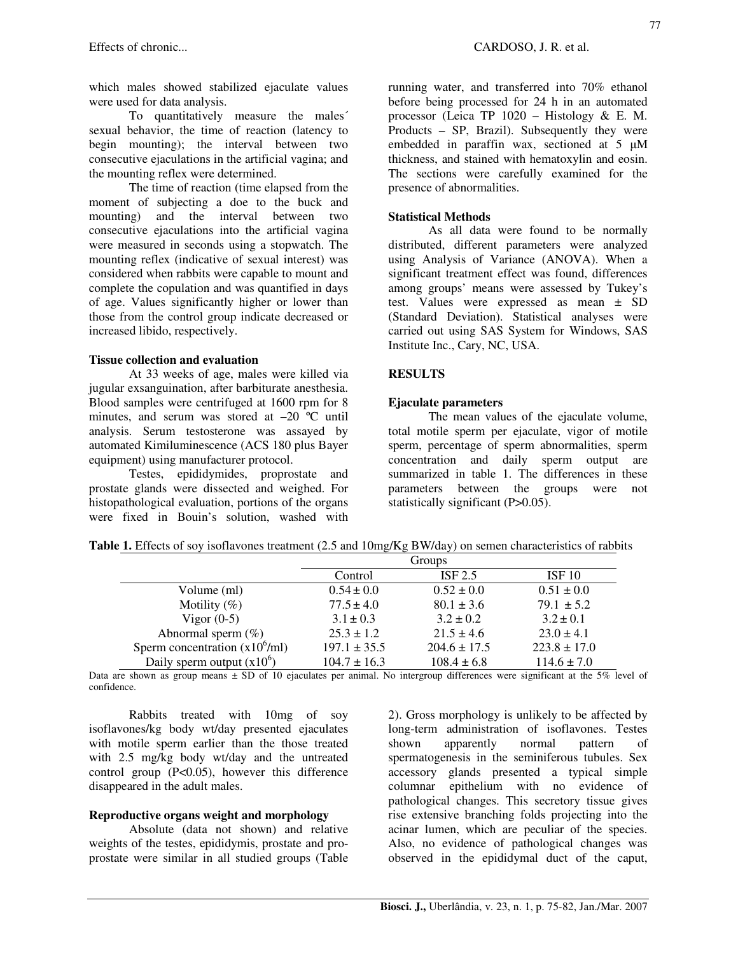which males showed stabilized ejaculate values were used for data analysis.

To quantitatively measure the males´ sexual behavior, the time of reaction (latency to begin mounting); the interval between two consecutive ejaculations in the artificial vagina; and the mounting reflex were determined.

The time of reaction (time elapsed from the moment of subjecting a doe to the buck and mounting) and the interval between two consecutive ejaculations into the artificial vagina were measured in seconds using a stopwatch. The mounting reflex (indicative of sexual interest) was considered when rabbits were capable to mount and complete the copulation and was quantified in days of age. Values significantly higher or lower than those from the control group indicate decreased or increased libido, respectively.

#### **Tissue collection and evaluation**

At 33 weeks of age, males were killed via jugular exsanguination, after barbiturate anesthesia. Blood samples were centrifuged at 1600 rpm for 8 minutes, and serum was stored at –20 ºC until analysis. Serum testosterone was assayed by automated Kimiluminescence (ACS 180 plus Bayer equipment) using manufacturer protocol.

Testes, epididymides, proprostate and prostate glands were dissected and weighed. For histopathological evaluation, portions of the organs were fixed in Bouin's solution, washed with

running water, and transferred into 70% ethanol before being processed for 24 h in an automated processor (Leica TP  $1020 -$  Histology & E. M. Products – SP, Brazil). Subsequently they were embedded in paraffin wax, sectioned at  $5 \mu M$ thickness, and stained with hematoxylin and eosin. The sections were carefully examined for the presence of abnormalities.

## **Statistical Methods**

As all data were found to be normally distributed, different parameters were analyzed using Analysis of Variance (ANOVA). When a significant treatment effect was found, differences among groups' means were assessed by Tukey's test. Values were expressed as mean ± SD (Standard Deviation). Statistical analyses were carried out using SAS System for Windows, SAS Institute Inc., Cary, NC, USA.

## **RESULTS**

#### **Ejaculate parameters**

The mean values of the ejaculate volume, total motile sperm per ejaculate, vigor of motile sperm, percentage of sperm abnormalities, sperm concentration and daily sperm output are summarized in table 1. The differences in these parameters between the groups were not statistically significant (P>0.05).

|                                         | Groups           |                  |                   |
|-----------------------------------------|------------------|------------------|-------------------|
|                                         | Control          | ISF 2.5          | ISF <sub>10</sub> |
| Volume (ml)                             | $0.54 \pm 0.0$   | $0.52 \pm 0.0$   | $0.51 \pm 0.0$    |
| Motility $(\%)$                         | $77.5 \pm 4.0$   | $80.1 \pm 3.6$   | $79.1 \pm 5.2$    |
| Vigor $(0-5)$                           | $3.1 \pm 0.3$    | $3.2 \pm 0.2$    | $3.2 \pm 0.1$     |
| Abnormal sperm $(\%)$                   | $25.3 \pm 1.2$   | $21.5 \pm 4.6$   | $23.0 \pm 4.1$    |
| Sperm concentration $(x10^6\text{/ml})$ | $197.1 \pm 35.5$ | $204.6 \pm 17.5$ | $223.8 \pm 17.0$  |
| Daily sperm output $(x10^6)$            | $104.7 \pm 16.3$ | $108.4 \pm 6.8$  | $114.6 \pm 7.0$   |

**Table 1.** Effects of soy isoflavones treatment (2.5 and 10mg/Kg BW/day) on semen characteristics of rabbits

Data are shown as group means  $\pm$  SD of 10 ejaculates per animal. No intergroup differences were significant at the 5% level of confidence.

Rabbits treated with 10mg of soy isoflavones/kg body wt/day presented ejaculates with motile sperm earlier than the those treated with 2.5 mg/kg body wt/day and the untreated control group  $(P<0.05)$ , however this difference disappeared in the adult males.

#### **Reproductive organs weight and morphology**

Absolute (data not shown) and relative weights of the testes, epididymis, prostate and proprostate were similar in all studied groups (Table 2). Gross morphology is unlikely to be affected by long-term administration of isoflavones. Testes shown apparently normal pattern of spermatogenesis in the seminiferous tubules. Sex accessory glands presented a typical simple columnar epithelium with no evidence of pathological changes. This secretory tissue gives rise extensive branching folds projecting into the acinar lumen, which are peculiar of the species. Also, no evidence of pathological changes was observed in the epididymal duct of the caput,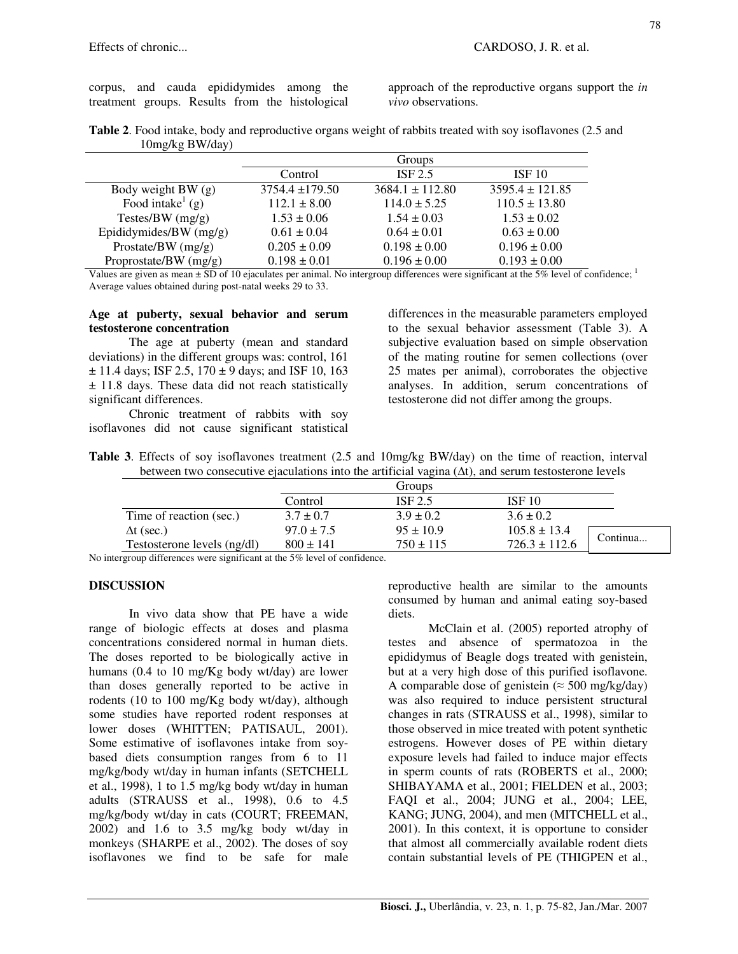approach of the reproductive organs support the *in vivo* observations.

|                 | Table 2. Food intake, body and reproductive organs weight of rabbits treated with soy isoflavones (2.5 and |
|-----------------|------------------------------------------------------------------------------------------------------------|
| 10mg/kg BW/day) |                                                                                                            |

|                              | Groups              |                     |                     |  |
|------------------------------|---------------------|---------------------|---------------------|--|
|                              | Control             | ISF 2.5             | ISF <sub>10</sub>   |  |
| Body weight BW (g)           | $3754.4 \pm 179.50$ | $3684.1 \pm 112.80$ | $3595.4 \pm 121.85$ |  |
| Food intake <sup>1</sup> (g) | $112.1 \pm 8.00$    | $114.0 \pm 5.25$    | $110.5 \pm 13.80$   |  |
| Testes/BW $(mg/g)$           | $1.53 \pm 0.06$     | $1.54 \pm 0.03$     | $1.53 \pm 0.02$     |  |
| Epididymides/BW $(mg/g)$     | $0.61 \pm 0.04$     | $0.64 \pm 0.01$     | $0.63 \pm 0.00$     |  |
| Prostate/BW $(mg/g)$         | $0.205 \pm 0.09$    | $0.198 \pm 0.00$    | $0.196 \pm 0.00$    |  |
| Proprostate/BW $(mg/g)$      | $0.198 \pm 0.01$    | $0.196 \pm 0.00$    | $0.193 \pm 0.00$    |  |

Values are given as mean  $\pm$  SD of 10 ejaculates per animal. No intergroup differences were significant at the 5% level of confidence; Average values obtained during post-natal weeks 29 to 33.

#### **Age at puberty, sexual behavior and serum testosterone concentration**

The age at puberty (mean and standard deviations) in the different groups was: control, 161  $\pm$  11.4 days; ISF 2.5, 170  $\pm$  9 days; and ISF 10, 163 ± 11.8 days. These data did not reach statistically significant differences.

Chronic treatment of rabbits with soy isoflavones did not cause significant statistical differences in the measurable parameters employed to the sexual behavior assessment (Table 3). A subjective evaluation based on simple observation of the mating routine for semen collections (over 25 mates per animal), corroborates the objective analyses. In addition, serum concentrations of testosterone did not differ among the groups.

**Table 3**. Effects of soy isoflavones treatment (2.5 and 10mg/kg BW/day) on the time of reaction, interval between two consecutive ejaculations into the artificial vagina  $(\Delta t)$ , and serum testosterone levels

|                             |                | Groups        |                   |          |  |
|-----------------------------|----------------|---------------|-------------------|----------|--|
|                             | Control        | ISF 2.5       | ISF <sub>10</sub> |          |  |
| Time of reaction (sec.)     | $3.7 \pm 0.7$  | $3.9 \pm 0.2$ | $3.6 \pm 0.2$     |          |  |
| $\Delta t$ (sec.)           | $97.0 \pm 7.5$ | $95 \pm 10.9$ | $105.8 \pm 13.4$  | Continua |  |
| Testosterone levels (ng/dl) | $800 \pm 141$  | $750 \pm 115$ | $726.3 \pm 112.6$ |          |  |

No intergroup differences were significant at the 5% level of confidence.

#### **DISCUSSION**

In vivo data show that PE have a wide range of biologic effects at doses and plasma concentrations considered normal in human diets. The doses reported to be biologically active in humans (0.4 to 10 mg/Kg body wt/day) are lower than doses generally reported to be active in rodents (10 to 100 mg/Kg body wt/day), although some studies have reported rodent responses at lower doses (WHITTEN; PATISAUL, 2001). Some estimative of isoflavones intake from soybased diets consumption ranges from 6 to 11 mg/kg/body wt/day in human infants (SETCHELL et al., 1998), 1 to 1.5 mg/kg body wt/day in human adults (STRAUSS et al., 1998), 0.6 to 4.5 mg/kg/body wt/day in cats (COURT; FREEMAN, 2002) and 1.6 to 3.5 mg/kg body wt/day in monkeys (SHARPE et al., 2002). The doses of soy isoflavones we find to be safe for male reproductive health are similar to the amounts consumed by human and animal eating soy-based diets.

McClain et al. (2005) reported atrophy of testes and absence of spermatozoa in the epididymus of Beagle dogs treated with genistein, but at a very high dose of this purified isoflavone. A comparable dose of genistein ( $\approx$  500 mg/kg/day) was also required to induce persistent structural changes in rats (STRAUSS et al., 1998), similar to those observed in mice treated with potent synthetic estrogens. However doses of PE within dietary exposure levels had failed to induce major effects in sperm counts of rats (ROBERTS et al., 2000; SHIBAYAMA et al., 2001; FIELDEN et al., 2003; FAQI et al., 2004; JUNG et al., 2004; LEE, KANG; JUNG, 2004), and men (MITCHELL et al., 2001). In this context, it is opportune to consider that almost all commercially available rodent diets contain substantial levels of PE (THIGPEN et al.,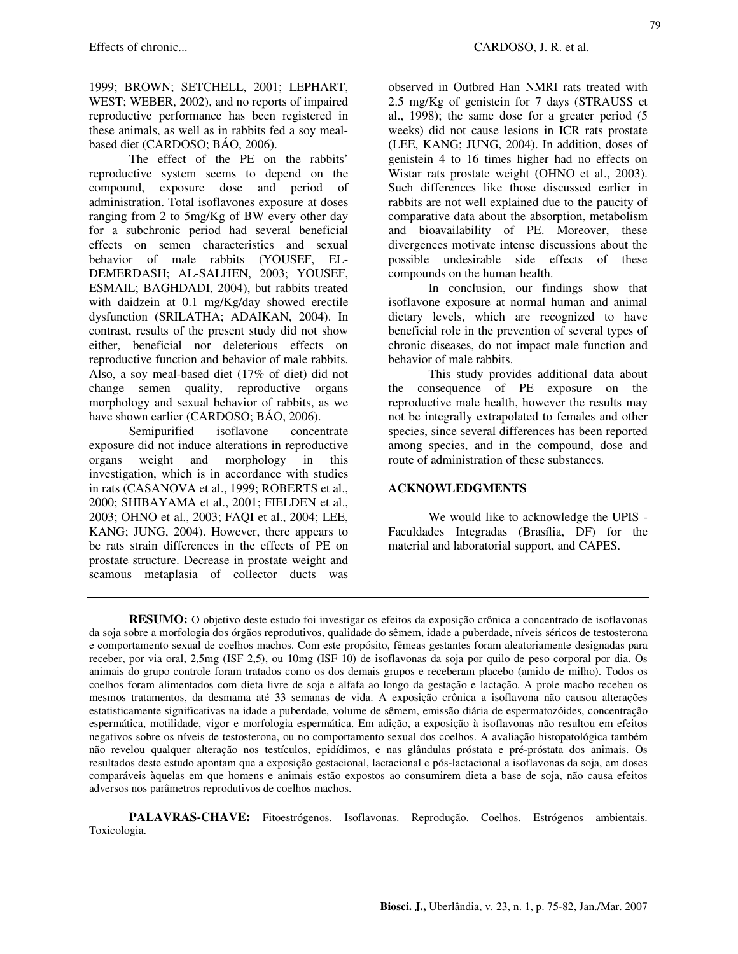1999; BROWN; SETCHELL, 2001; LEPHART, WEST; WEBER, 2002), and no reports of impaired reproductive performance has been registered in these animals, as well as in rabbits fed a soy mealbased diet (CARDOSO; BÁO, 2006).

The effect of the PE on the rabbits' reproductive system seems to depend on the compound, exposure dose and period of administration. Total isoflavones exposure at doses ranging from 2 to 5mg/Kg of BW every other day for a subchronic period had several beneficial effects on semen characteristics and sexual behavior of male rabbits (YOUSEF, EL-DEMERDASH; AL-SALHEN, 2003; YOUSEF, ESMAIL; BAGHDADI, 2004), but rabbits treated with daidzein at 0.1 mg/Kg/day showed erectile dysfunction (SRILATHA; ADAIKAN, 2004). In contrast, results of the present study did not show either, beneficial nor deleterious effects on reproductive function and behavior of male rabbits. Also, a soy meal-based diet (17% of diet) did not change semen quality, reproductive organs morphology and sexual behavior of rabbits, as we have shown earlier (CARDOSO; BÁO, 2006).

Semipurified isoflavone concentrate exposure did not induce alterations in reproductive organs weight and morphology in this investigation, which is in accordance with studies in rats (CASANOVA et al., 1999; ROBERTS et al., 2000; SHIBAYAMA et al., 2001; FIELDEN et al., 2003; OHNO et al., 2003; FAQI et al., 2004; LEE, KANG; JUNG, 2004). However, there appears to be rats strain differences in the effects of PE on prostate structure. Decrease in prostate weight and scamous metaplasia of collector ducts was

observed in Outbred Han NMRI rats treated with 2.5 mg/Kg of genistein for 7 days (STRAUSS et al., 1998); the same dose for a greater period (5 weeks) did not cause lesions in ICR rats prostate (LEE, KANG; JUNG, 2004). In addition, doses of genistein 4 to 16 times higher had no effects on Wistar rats prostate weight (OHNO et al., 2003). Such differences like those discussed earlier in rabbits are not well explained due to the paucity of comparative data about the absorption, metabolism and bioavailability of PE. Moreover, these divergences motivate intense discussions about the possible undesirable side effects of these compounds on the human health.

In conclusion, our findings show that isoflavone exposure at normal human and animal dietary levels, which are recognized to have beneficial role in the prevention of several types of chronic diseases, do not impact male function and behavior of male rabbits.

This study provides additional data about the consequence of PE exposure on the reproductive male health, however the results may not be integrally extrapolated to females and other species, since several differences has been reported among species, and in the compound, dose and route of administration of these substances.

#### **ACKNOWLEDGMENTS**

We would like to acknowledge the UPIS - Faculdades Integradas (Brasília, DF) for the material and laboratorial support, and CAPES.

**RESUMO:** O objetivo deste estudo foi investigar os efeitos da exposição crônica a concentrado de isoflavonas da soja sobre a morfologia dos órgãos reprodutivos, qualidade do sêmem, idade a puberdade, níveis séricos de testosterona e comportamento sexual de coelhos machos. Com este propósito, fêmeas gestantes foram aleatoriamente designadas para receber, por via oral, 2,5mg (ISF 2,5), ou 10mg (ISF 10) de isoflavonas da soja por quilo de peso corporal por dia. Os animais do grupo controle foram tratados como os dos demais grupos e receberam placebo (amido de milho). Todos os coelhos foram alimentados com dieta livre de soja e alfafa ao longo da gestação e lactação. A prole macho recebeu os mesmos tratamentos, da desmama até 33 semanas de vida. A exposição crônica a isoflavona não causou alterações estatisticamente significativas na idade a puberdade, volume de sêmem, emissão diária de espermatozóides, concentração espermática, motilidade, vigor e morfologia espermática. Em adição, a exposição à isoflavonas não resultou em efeitos negativos sobre os níveis de testosterona, ou no comportamento sexual dos coelhos. A avaliação histopatológica também não revelou qualquer alteração nos testículos, epidídimos, e nas glândulas próstata e pré-próstata dos animais. Os resultados deste estudo apontam que a exposição gestacional, lactacional e pós-lactacional a isoflavonas da soja, em doses comparáveis àquelas em que homens e animais estão expostos ao consumirem dieta a base de soja, não causa efeitos adversos nos parâmetros reprodutivos de coelhos machos.

PALAVRAS-CHAVE: Fitoestrógenos. Isoflavonas. Reprodução. Coelhos. Estrógenos ambientais. Toxicologia.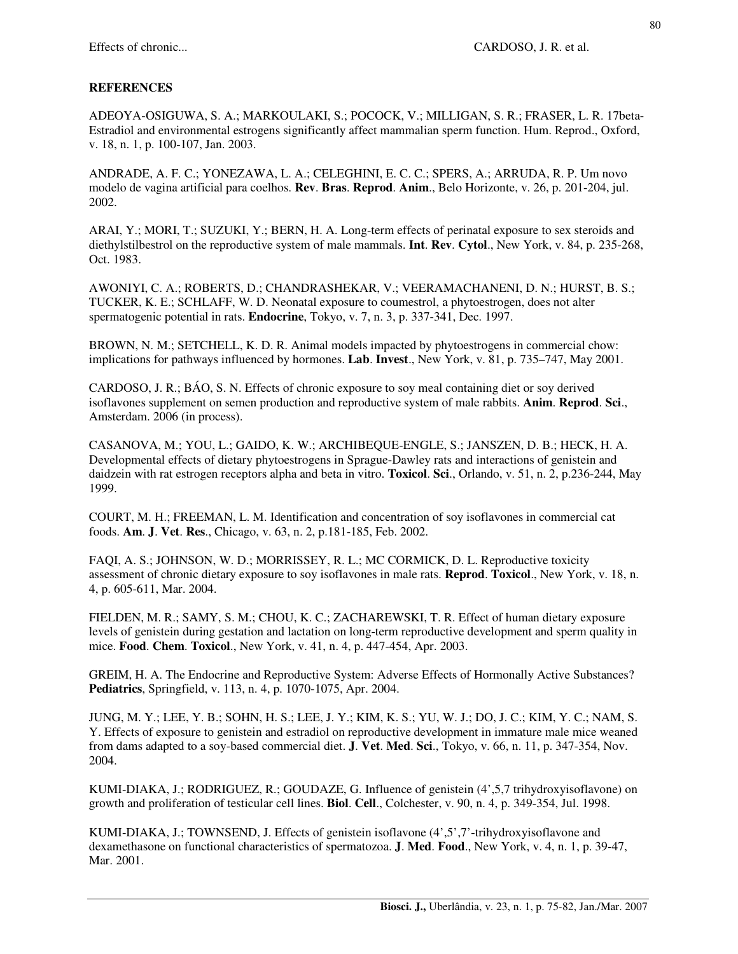## **REFERENCES**

ADEOYA-OSIGUWA, S. A.; MARKOULAKI, S.; POCOCK, V.; MILLIGAN, S. R.; FRASER, L. R. 17beta-Estradiol and environmental estrogens significantly affect mammalian sperm function. Hum. Reprod., Oxford, v. 18, n. 1, p. 100-107, Jan. 2003.

ANDRADE, A. F. C.; YONEZAWA, L. A.; CELEGHINI, E. C. C.; SPERS, A.; ARRUDA, R. P. Um novo modelo de vagina artificial para coelhos. **Rev**. **Bras**. **Reprod**. **Anim**., Belo Horizonte, v. 26, p. 201-204, jul. 2002.

ARAI, Y.; MORI, T.; SUZUKI, Y.; BERN, H. A. Long-term effects of perinatal exposure to sex steroids and diethylstilbestrol on the reproductive system of male mammals. **Int**. **Rev**. **Cytol**., New York, v. 84, p. 235-268, Oct. 1983.

AWONIYI, C. A.; ROBERTS, D.; CHANDRASHEKAR, V.; VEERAMACHANENI, D. N.; HURST, B. S.; TUCKER, K. E.; SCHLAFF, W. D. Neonatal exposure to coumestrol, a phytoestrogen, does not alter spermatogenic potential in rats. **Endocrine**, Tokyo, v. 7, n. 3, p. 337-341, Dec. 1997.

BROWN, N. M.; SETCHELL, K. D. R. Animal models impacted by phytoestrogens in commercial chow: implications for pathways influenced by hormones. **Lab**. **Invest**., New York, v. 81, p. 735–747, May 2001.

CARDOSO, J. R.; BÁO, S. N. Effects of chronic exposure to soy meal containing diet or soy derived isoflavones supplement on semen production and reproductive system of male rabbits. **Anim**. **Reprod**. **Sci**., Amsterdam. 2006 (in process).

CASANOVA, M.; YOU, L.; GAIDO, K. W.; ARCHIBEQUE-ENGLE, S.; JANSZEN, D. B.; HECK, H. A. Developmental effects of dietary phytoestrogens in Sprague-Dawley rats and interactions of genistein and daidzein with rat estrogen receptors alpha and beta in vitro. **Toxicol**. **Sci**., Orlando, v. 51, n. 2, p.236-244, May 1999.

COURT, M. H.; FREEMAN, L. M. Identification and concentration of soy isoflavones in commercial cat foods. **Am**. **J**. **Vet**. **Res**., Chicago, v. 63, n. 2, p.181-185, Feb. 2002.

FAQI, A. S.; JOHNSON, W. D.; MORRISSEY, R. L.; MC CORMICK, D. L. Reproductive toxicity assessment of chronic dietary exposure to soy isoflavones in male rats. **Reprod**. **Toxicol**., New York, v. 18, n. 4, p. 605-611, Mar. 2004.

FIELDEN, M. R.; SAMY, S. M.; CHOU, K. C.; ZACHAREWSKI, T. R. Effect of human dietary exposure levels of genistein during gestation and lactation on long-term reproductive development and sperm quality in mice. **Food**. **Chem**. **Toxicol**., New York, v. 41, n. 4, p. 447-454, Apr. 2003.

GREIM, H. A. The Endocrine and Reproductive System: Adverse Effects of Hormonally Active Substances? **Pediatrics**, Springfield, v. 113, n. 4, p. 1070-1075, Apr. 2004.

JUNG, M. Y.; LEE, Y. B.; SOHN, H. S.; LEE, J. Y.; KIM, K. S.; YU, W. J.; DO, J. C.; KIM, Y. C.; NAM, S. Y. Effects of exposure to genistein and estradiol on reproductive development in immature male mice weaned from dams adapted to a soy-based commercial diet. **J**. **Vet**. **Med**. **Sci**., Tokyo, v. 66, n. 11, p. 347-354, Nov. 2004.

KUMI-DIAKA, J.; RODRIGUEZ, R.; GOUDAZE, G. Influence of genistein (4',5,7 trihydroxyisoflavone) on growth and proliferation of testicular cell lines. **Biol**. **Cell**., Colchester, v. 90, n. 4, p. 349-354, Jul. 1998.

KUMI-DIAKA, J.; TOWNSEND, J. Effects of genistein isoflavone (4',5',7'-trihydroxyisoflavone and dexamethasone on functional characteristics of spermatozoa. **J**. **Med**. **Food**., New York, v. 4, n. 1, p. 39-47, Mar. 2001.

80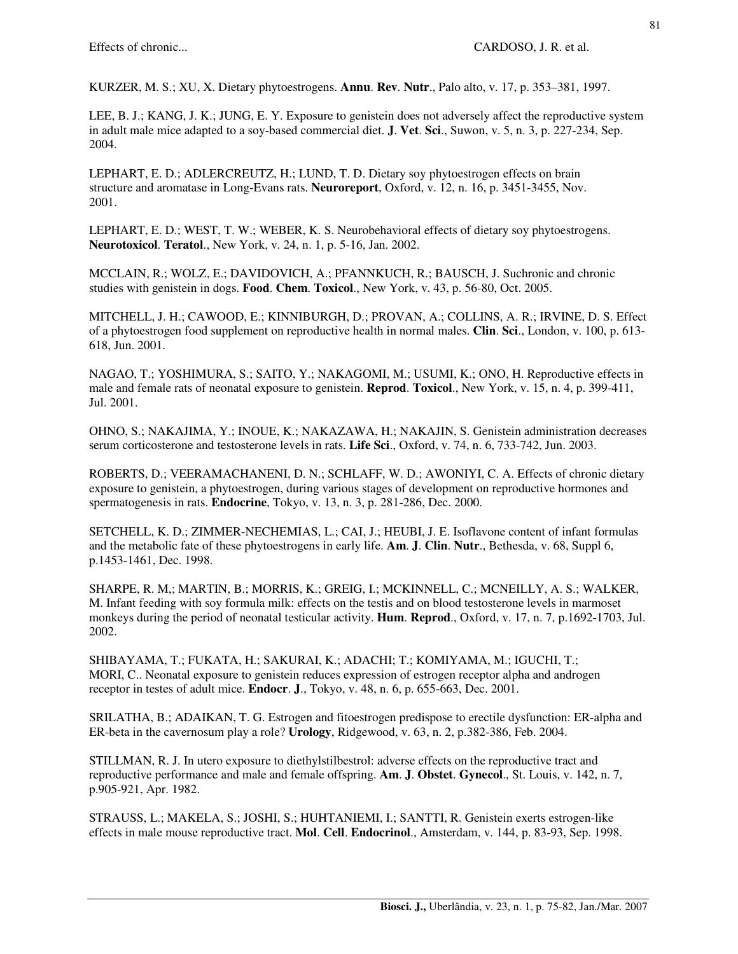KURZER, M. S.; XU, X. Dietary phytoestrogens. **Annu**. **Rev**. **Nutr**., Palo alto, v. 17, p. 353–381, 1997.

LEE, B. J.; KANG, J. K.; JUNG, E. Y. Exposure to genistein does not adversely affect the reproductive system in adult male mice adapted to a soy-based commercial diet. **J**. **Vet**. **Sci**., Suwon, v. 5, n. 3, p. 227-234, Sep. 2004.

LEPHART, E. D.; ADLERCREUTZ, H.; LUND, T. D. Dietary soy phytoestrogen effects on brain structure and aromatase in Long-Evans rats. **Neuroreport**, Oxford, v. 12, n. 16, p. 3451-3455, Nov. 2001.

LEPHART, E. D.; WEST, T. W.; WEBER, K. S. Neurobehavioral effects of dietary soy phytoestrogens. **Neurotoxicol**. **Teratol**., New York, v. 24, n. 1, p. 5-16, Jan. 2002.

MCCLAIN, R.; WOLZ, E.; DAVIDOVICH, A.; PFANNKUCH, R.; BAUSCH, J. Suchronic and chronic studies with genistein in dogs. **Food**. **Chem**. **Toxicol**., New York, v. 43, p. 56-80, Oct. 2005.

MITCHELL, J. H.; CAWOOD, E.; KINNIBURGH, D.; PROVAN, A.; COLLINS, A. R.; IRVINE, D. S. Effect of a phytoestrogen food supplement on reproductive health in normal males. **Clin**. **Sci**., London, v. 100, p. 613- 618, Jun. 2001.

NAGAO, T.; YOSHIMURA, S.; SAITO, Y.; NAKAGOMI, M.; USUMI, K.; ONO, H. Reproductive effects in male and female rats of neonatal exposure to genistein. **Reprod**. **Toxicol**., New York, v. 15, n. 4, p. 399-411, Jul. 2001.

OHNO, S.; NAKAJIMA, Y.; INOUE, K.; NAKAZAWA, H.; NAKAJIN, S. Genistein administration decreases serum corticosterone and testosterone levels in rats. **Life Sci**., Oxford, v. 74, n. 6, 733-742, Jun. 2003.

ROBERTS, D.; VEERAMACHANENI, D. N.; SCHLAFF, W. D.; AWONIYI, C. A. Effects of chronic dietary exposure to genistein, a phytoestrogen, during various stages of development on reproductive hormones and spermatogenesis in rats. **Endocrine**, Tokyo, v. 13, n. 3, p. 281-286, Dec. 2000.

SETCHELL, K. D.; ZIMMER-NECHEMIAS, L.; CAI, J.; HEUBI, J. E. Isoflavone content of infant formulas and the metabolic fate of these phytoestrogens in early life. **Am**. **J**. **Clin**. **Nutr**., Bethesda, v. 68, Suppl 6, p.1453-1461, Dec. 1998.

SHARPE, R. M,; MARTIN, B.; MORRIS, K.; GREIG, I.; MCKINNELL, C.; MCNEILLY, A. S.; WALKER, M. Infant feeding with soy formula milk: effects on the testis and on blood testosterone levels in marmoset monkeys during the period of neonatal testicular activity. **Hum**. **Reprod**., Oxford, v. 17, n. 7, p.1692-1703, Jul. 2002.

SHIBAYAMA, T.; FUKATA, H.; SAKURAI, K.; ADACHI; T.; KOMIYAMA, M.; IGUCHI, T.; MORI, C.. Neonatal exposure to genistein reduces expression of estrogen receptor alpha and androgen receptor in testes of adult mice. **Endocr**. **J**., Tokyo, v. 48, n. 6, p. 655-663, Dec. 2001.

SRILATHA, B.; ADAIKAN, T. G. Estrogen and fitoestrogen predispose to erectile dysfunction: ER-alpha and ER-beta in the cavernosum play a role? **Urology**, Ridgewood, v. 63, n. 2, p.382-386, Feb. 2004.

STILLMAN, R. J. In utero exposure to diethylstilbestrol: adverse effects on the reproductive tract and reproductive performance and male and female offspring. **Am**. **J**. **Obstet**. **Gynecol**., St. Louis, v. 142, n. 7, p.905-921, Apr. 1982.

STRAUSS, L.; MAKELA, S.; JOSHI, S.; HUHTANIEMI, I.; SANTTI, R. Genistein exerts estrogen-like effects in male mouse reproductive tract. **Mol**. **Cell**. **Endocrinol**., Amsterdam, v. 144, p. 83-93, Sep. 1998.